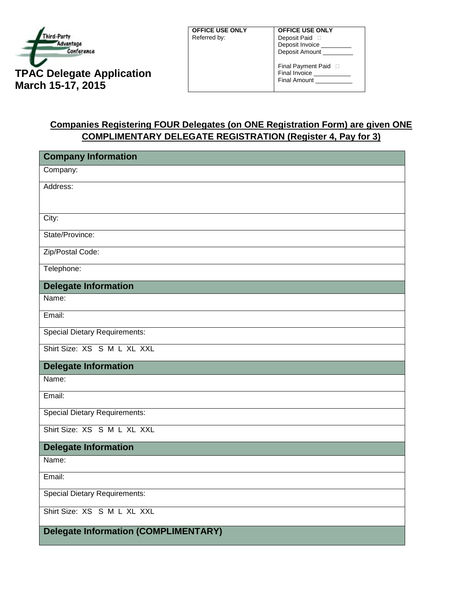

**OFFICE USE ONLY** Referred by:

**OFFICE USE ONLY** Deposit Paid  $\Box$ Deposit Invoice Deposit Amount \_

Final Payment Paid  $\Box$ Final Invoice \_ Final Amount

## **Companies Registering FOUR Delegates (on ONE Registration Form) are given ONE COMPLIMENTARY DELEGATE REGISTRATION (Register 4, Pay for 3)**

| <b>Company Information</b>                  |
|---------------------------------------------|
| Company:                                    |
| Address:                                    |
|                                             |
| City:                                       |
| State/Province:                             |
| Zip/Postal Code:                            |
| Telephone:                                  |
| <b>Delegate Information</b>                 |
| Name:                                       |
| Email:                                      |
| <b>Special Dietary Requirements:</b>        |
| Shirt Size: XS S M L XL XXL                 |
| <b>Delegate Information</b>                 |
| Name:                                       |
| Email:                                      |
| <b>Special Dietary Requirements:</b>        |
| Shirt Size: XS S M L XL XXL                 |
| <b>Delegate Information</b>                 |
| Name:                                       |
| Email:                                      |
| <b>Special Dietary Requirements:</b>        |
| Shirt Size: XS S M L XL XXL                 |
| <b>Delegate Information (COMPLIMENTARY)</b> |